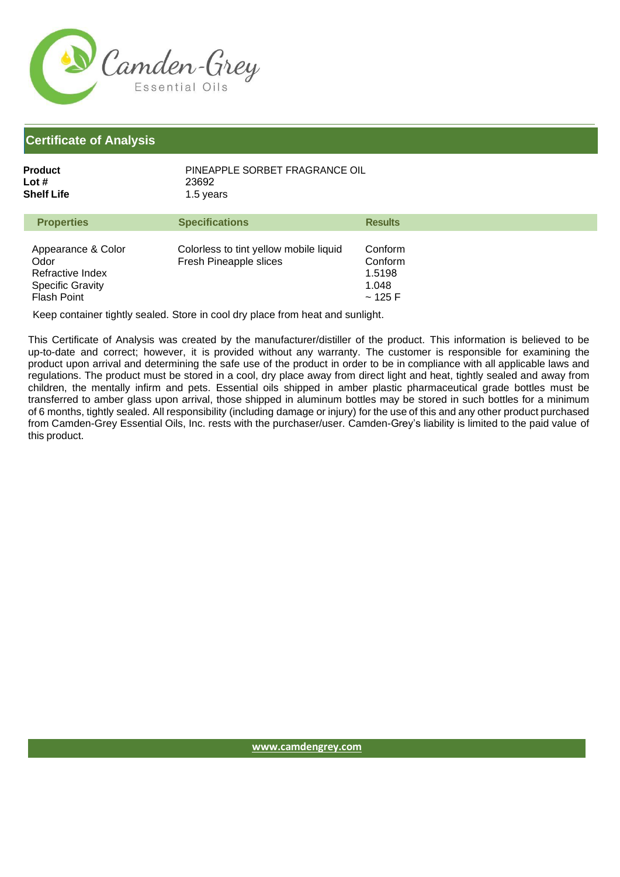

| Product    | PINEAPPLE SORBET FRAGRANCE OIL |
|------------|--------------------------------|
| Lot #      | 23692                          |
| Shelf Life | 1.5 years                      |

| <b>Properties</b>                                                                               | <b>Specifications</b>                                            | <b>Results</b>                                  |
|-------------------------------------------------------------------------------------------------|------------------------------------------------------------------|-------------------------------------------------|
| Appearance & Color<br>Odor<br>Refractive Index<br><b>Specific Gravity</b><br><b>Flash Point</b> | Colorless to tint yellow mobile liquid<br>Fresh Pineapple slices | Conform<br>Conform<br>1.5198<br>1.048<br>~125 F |

Keep container tightly sealed. Store in cool dry place from heat and sunlight.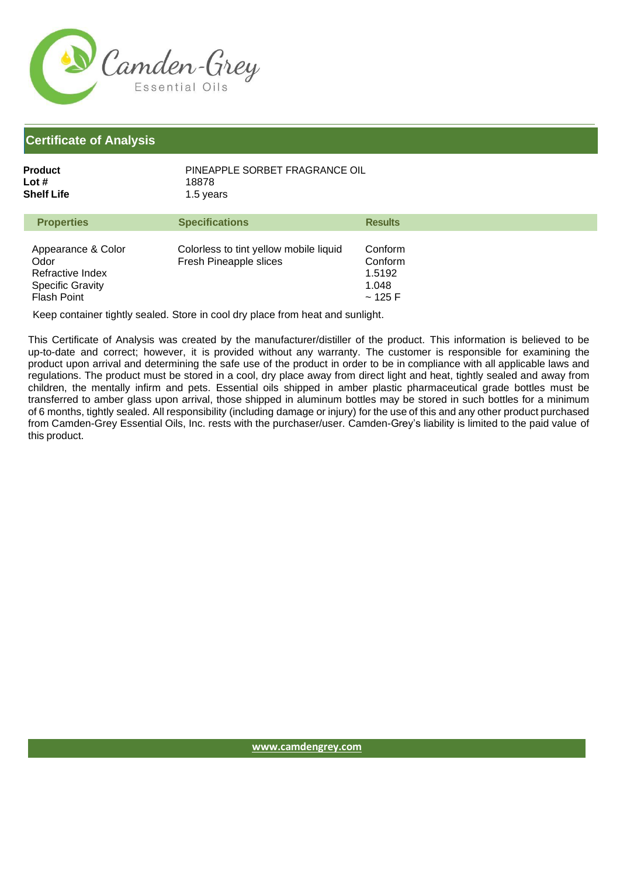

| Product    | PINEAPPLE SORBET FRAGRANCE OIL |
|------------|--------------------------------|
| Lot #      | 18878                          |
| Shelf Life | 1.5 years                      |

| <b>Properties</b>                                                                        | <b>Specifications</b>                                            | <b>Results</b>                                  |
|------------------------------------------------------------------------------------------|------------------------------------------------------------------|-------------------------------------------------|
| Appearance & Color<br>Odor<br>Refractive Index<br><b>Specific Gravity</b><br>Flash Point | Colorless to tint yellow mobile liquid<br>Fresh Pineapple slices | Conform<br>Conform<br>1.5192<br>1.048<br>~125 F |

Keep container tightly sealed. Store in cool dry place from heat and sunlight.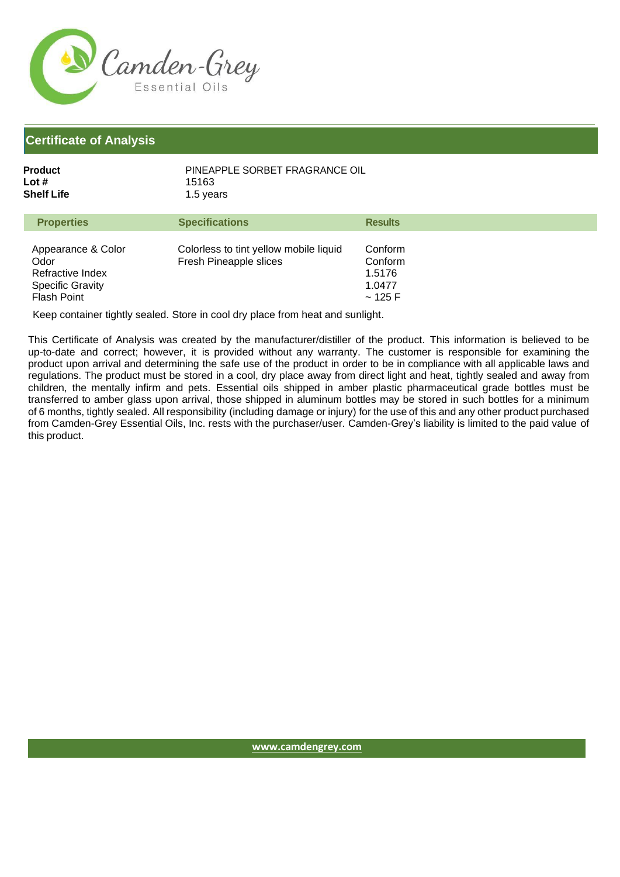

| Product    | PINEAPPLE SORBET FRAGRANCE OIL |
|------------|--------------------------------|
| Lot #      | 15163                          |
| Shelf Life | 1.5 years                      |

| <b>Properties</b>                                                                        | <b>Specifications</b>                                            | <b>Results</b>                                   |
|------------------------------------------------------------------------------------------|------------------------------------------------------------------|--------------------------------------------------|
| Appearance & Color<br>Odor<br>Refractive Index<br><b>Specific Gravity</b><br>Flash Point | Colorless to tint yellow mobile liquid<br>Fresh Pineapple slices | Conform<br>Conform<br>1.5176<br>1.0477<br>~125 F |

Keep container tightly sealed. Store in cool dry place from heat and sunlight.